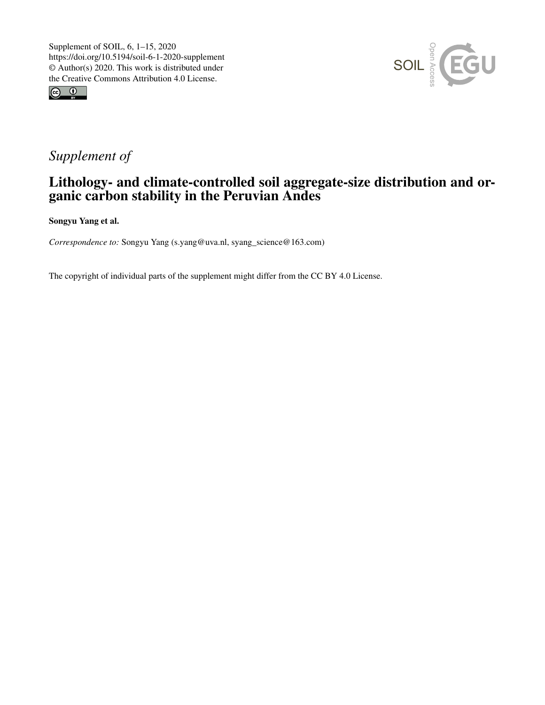



## *Supplement of*

## Lithology- and climate-controlled soil aggregate-size distribution and organic carbon stability in the Peruvian Andes

Songyu Yang et al.

*Correspondence to:* Songyu Yang (s.yang@uva.nl, syang\_science@163.com)

The copyright of individual parts of the supplement might differ from the CC BY 4.0 License.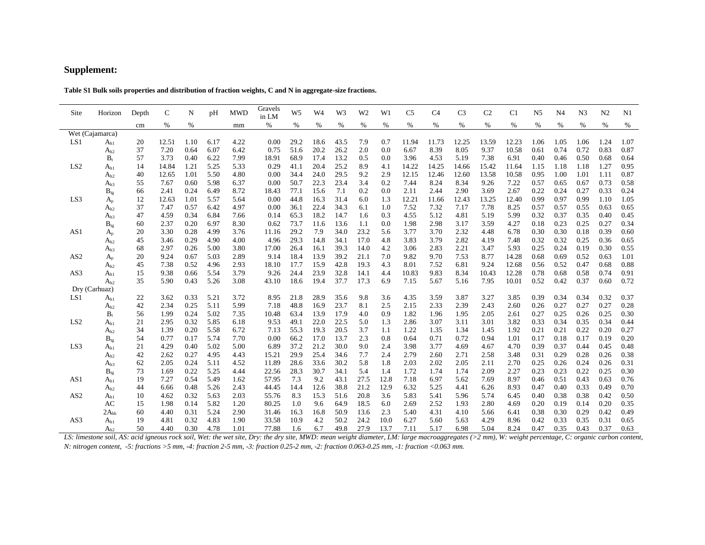## **Supplement:**

| Site            | Horizon                          | Depth    | $\mathsf{C}$ | N            | pH           | <b>MWD</b>   | Gravels<br>in LM | W <sub>5</sub> | W <sub>4</sub> | W <sub>3</sub> | W <sub>2</sub> | W1         | C <sub>5</sub> | C <sub>4</sub> | C <sub>3</sub> | C <sub>2</sub> | C <sub>1</sub> | N <sub>5</sub> | N <sub>4</sub> | N <sub>3</sub> | N <sub>2</sub> | N1           |
|-----------------|----------------------------------|----------|--------------|--------------|--------------|--------------|------------------|----------------|----------------|----------------|----------------|------------|----------------|----------------|----------------|----------------|----------------|----------------|----------------|----------------|----------------|--------------|
|                 |                                  | cm       | %            | %            |              | mm           | %                | %              | %              | $\%$           | %              | %          | %              | %              | %              | %              | %              | %              | %              | %              | %              | %            |
| Wet (Cajamarca) |                                  |          |              |              |              |              |                  |                |                |                |                |            |                |                |                |                |                |                |                |                |                |              |
| LS1             | $A_{h1}$                         | 20       | 12.51        | 1.10         | 6.17         | 4.22         | 0.00             | 29.2           | 18.6           | 43.5           | 7.9            | 0.7        | 11.94          | 11.73          | 12.25          | 13.59          | 12.23          | 1.06           | 1.05           | 1.06           | 1.24           | 1.07         |
|                 | $A_{h2}$                         | 37       | 7.20         | 0.64         | 6.07         | 6.42         | 0.75             | 51.6           | 20.2           | 26.2           | $2.0\,$        | 0.0        | 6.67           | 8.39           | 8.05           | 9.37           | 10.58          | 0.61           | 0.74           | 0.72           | 0.83           | 0.87         |
|                 | $B_t$                            | 57       | 3.73         | 0.40         | 6.22         | 7.99         | 18.91            | 68.9           | 17.4           | 13.2           | $0.5\,$        | 0.0        | 3.96           | 4.53           | 5.19           | 7.38           | 6.91           | 0.40           | 0.46           | 0.50           | 0.68           | 0.64         |
| LS <sub>2</sub> | $A_{h1}$                         | 14       | 14.84        | 1.21         | 5.25         | 5.33         | 0.29             | 41.1           | 20.4           | 25.2           | 8.9            | 4.1        | 14.22          | 14.25          | 14.66          | 15.42          | 11.64          | 1.15           | 1.18           | 1.18           | 1.27           | 0.95         |
|                 | $A_{h2}$                         | 40       | 12.65        | 1.01         | 5.50         | 4.80         | 0.00             | 34.4           | 24.0           | 29.5           | 9.2            | 2.9        | 12.15          | 12.46          | 12.60          | 13.58          | 10.58          | 0.95           | 1.00           | 1.01           | 1.11           | 0.87         |
|                 | $A_{h3}$                         | 55       | 7.67         | 0.60         | 5.98         | 6.37         | 0.00             | 50.7           | 22.3           | 23.4           | 3.4            | 0.2        | 7.44           | 8.24           | 8.34           | 9.26           | 7.22           | 0.57           | 0.65           | 0.67           | 0.73           | 0.58         |
|                 | $B_{tg}$                         | 66       | 2.41         | 0.24         | 6.49         | 8.72         | 18.43            | 77.1           | 15.6           | 7.1            | 0.2            | 0.0        | 2.11           | 2.44           | 2.90           | 3.69           | 2.67           | 0.22           | 0.24           | 0.27           | 0.33           | 0.24         |
| LS3             | $\rm A_p$                        | 12       | 12.63        | 1.01         | 5.57         | 5.64         | 0.00             | 44.8           | 16.3           | 31.4           | 6.0            | 1.3        | 12.21          | 11.66          | 12.43          | 13.25          | 12.40          | 0.99           | 0.97           | 0.99           | 1.10           | 1.05         |
|                 | $A_{h2}$                         | 37<br>47 | 7.47<br>4.59 | 0.57<br>0.34 | 6.42<br>6.84 | 4.97<br>7.66 | 0.00<br>0.14     | 36.1<br>65.3   | 22.4<br>18.2   | 34.3<br>14.7   | 6.1<br>1.6     | 1.0<br>0.3 | 7.52<br>4.55   | 7.32<br>5.12   | 7.17<br>4.81   | 7.78<br>5.19   | 8.25<br>5.99   | 0.57<br>0.32   | 0.57<br>0.37   | 0.55<br>0.35   | 0.63<br>0.40   | 0.65<br>0.45 |
|                 | $A_{h3}$                         | 60       | 2.37         | 0.20         | 6.97         | 8.30         | 0.62             | 73.7           | 11.6           | 13.6           | 1.1            | 0.0        | 1.98           | 2.98           | 3.17           | 3.59           | 4.27           | 0.18           | 0.23           | 0.25           | 0.27           | 0.34         |
| AS1             | $\mathbf{B}_{\text{tg}}$         | 20       | 3.30         | 0.28         | 4.99         | 3.76         | 11.16            | 29.2           | 7.9            | 34.0           | 23.2           | 5.6        | 3.77           | 3.70           | 2.32           | 4.48           | 6.78           | 0.30           | 0.30           | 0.18           | 0.39           | 0.60         |
|                 | $\mathbf{A}_{\rm p}$<br>$A_{h2}$ | 45       | 3.46         | 0.29         | 4.90         | 4.00         | 4.96             | 29.3           | 14.8           | 34.1           | 17.0           | 4.8        | 3.83           | 3.79           | 2.82           | 4.19           | 7.48           | 0.32           | 0.32           | 0.25           | 0.36           | 0.65         |
|                 | $A_{h3}$                         | 68       | 2.97         | 0.26         | 5.00         | 3.80         | 17.00            | 26.4           | 16.1           | 39.3           | 14.0           | 4.2        | 3.06           | 2.83           | 2.21           | 3.47           | 5.93           | 0.25           | 0.24           | 0.19           | 0.30           | 0.55         |
| AS <sub>2</sub> | $A_p$                            | 20       | 9.24         | 0.67         | 5.03         | 2.89         | 9.14             | 18.4           | 13.9           | 39.2           | 21.1           | 7.0        | 9.82           | 9.70           | 7.53           | 8.77           | 14.28          | 0.68           | 0.69           | 0.52           | 0.63           | 1.01         |
|                 | $A_{h2}$                         | 45       | 7.38         | 0.52         | 4.96         | 2.93         | 18.10            | 17.7           | 15.9           | 42.8           | 19.3           | 4.3        | 8.01           | 7.52           | 6.81           | 9.24           | 12.68          | 0.56           | 0.52           | 0.47           | 0.68           | 0.88         |
| AS3             | $A_{h1}$                         | 15       | 9.38         | 0.66         | 5.54         | 3.79         | 9.26             | 24.4           | 23.9           | 32.8           | 14.1           | 4.4        | 10.83          | 9.83           | 8.34           | 10.43          | 12.28          | 0.78           | 0.68           | 0.58           | 0.74           | 0.91         |
|                 | $A_{h2}$                         | 35       | 5.90         | 0.43         | 5.26         | 3.08         | 43.10            | 18.6           | 19.4           | 37.7           | 17.3           | 6.9        | 7.15           | 5.67           | 5.16           | 7.95           | 10.01          | 0.52           | 0.42           | 0.37           | 0.60           | 0.72         |
|                 | Dry (Carhuaz)                    |          |              |              |              |              |                  |                |                |                |                |            |                |                |                |                |                |                |                |                |                |              |
| LS1             | $A_{h1}$                         | 22       | 3.62         | 0.33         | 5.21         | 3.72         | 8.95             | 21.8           | 28.9           | 35.6           | 9.8            | 3.6        | 4.35           | 3.59           | 3.87           | 3.27           | 3.85           | 0.39           | 0.34           | 0.34           | 0.32           | 0.37         |
|                 | $A_{h2}$                         | 42       | 2.34         | 0.25         | 5.11         | 5.99         | 7.18             | 48.8           | 16.9           | 23.7           | 8.1            | 2.5        | 2.15           | 2.33           | 2.39           | 2.43           | 2.60           | 0.26           | 0.27           | 0.27           | 0.27           | 0.28         |
|                 | $B_t$                            | 56       | 1.99         | 0.24         | 5.02         | 7.35         | 10.48            | 63.4           | 13.9           | 17.9           | 4.0            | 0.9        | 1.82           | 1.96           | 1.95           | 2.05           | 2.61           | 0.27           | 0.25           | 0.26           | 0.25           | 0.30         |
| LS <sub>2</sub> | $A_{h1}$                         | 21       | 2.95         | 0.32         | 5.85         | 6.18         | 9.53             | 49.1           | 22.0           | 22.5           | 5.0            | 1.3        | 2.86           | 3.07           | 3.11           | 3.01           | 3.82           | 0.33           | 0.34           | 0.35           | 0.34           | 0.44         |
|                 | $A_{h2}$                         | 34       | 1.39         | 0.20         | 5.58         | 6.72         | 7.13             | 55.3           | 19.3           | 20.5           | 3.7            | 1.1        | 1.22           | 1.35           | 1.34           | 1.45           | 1.92           | 0.21           | 0.21           | 0.22           | 0.20           | 0.27         |
|                 | $\mathbf{B}_{\text{tg}}$         | 54       | 0.77         | 0.17         | 5.74         | 7.70         | 0.00             | 66.2           | 17.0           | 13.7           | 2.3            | 0.8        | 0.64           | 0.71           | 0.72           | 0.94           | 1.01           | 0.17           | 0.18           | 0.17           | 0.19           | 0.20         |
| LS3             | $A_{h1}$                         | 21       | 4.29         | 0.40         | 5.02         | 5.00         | 6.89             | 37.2           | 21.2           | 30.0           | 9.0            | 2.4        | 3.98           | 3.77           | 4.69           | 4.67           | 4.70           | 0.39           | 0.37           | 0.44           | 0.45           | 0.48         |
|                 | $A_{h2}$                         | 42       | 2.62         | 0.27         | 4.95         | 4.43         | 15.21            | 29.9           | 25.4           | 34.6           | 7.7            | 2.4        | 2.79           | 2.60           | 2.71           | 2.58           | 3.48           | 0.31           | 0.29           | 0.28           | 0.26           | 0.38         |
|                 | $A_{h3}$                         | 62       | 2.05         | 0.24         | 5.11         | 4.52         | 11.89            | 28.6           | 33.6           | 30.2           | 5.8            | 1.8        | 2.03           | 2.02           | 2.05           | 2.11           | 2.70           | 0.25           | 0.26           | 0.24           | 0.26           | 0.31         |
|                 | $B_{tg}$                         | 73       | 1.69         | 0.22         | 5.25         | 4.44         | 22.56            | 28.3           | 30.7           | 34.1           | 5.4            | 1.4        | 1.72           | 1.74           | 1.74           | 2.09           | 2.27           | 0.23           | 0.23           | 0.22           | 0.25           | 0.30         |
| AS1             | $A_{h1}$                         | 19       | 7.27         | 0.54         | 5.49         | 1.62         | 57.95            | 7.3            | 9.2            | 43.1           | 27.5           | 12.8       | 7.18           | 6.97           | 5.62           | 7.69           | 8.97           | 0.46           | 0.51           | 0.43           | 0.63           | 0.76         |
|                 | $A_{h2}$                         | 44       | 6.66         | 0.48         | 5.26         | 2.43         | 44.45            | 14.4           | 12.6           | 38.8           | 21.2           | 12.9       | 6.32           | 5.25           | 4.41           | 6.26           | 8.93           | 0.47           | 0.40           | 0.33           | 0.49           | 0.70         |
| AS <sub>2</sub> | $A_{h1}$                         | 10       | 4.62         | 0.32         | 5.63         | 2.03         | 55.76            | 8.3            | 15.3           | 51.6           | 20.8           | 3.6        | 5.83           | 5.41           | 5.96           | 5.74           | 6.45           | 0.40           | 0.38           | 0.38           | 0.42           | 0.50         |
|                 | AC                               | 15       | 1.98         | 0.14         | 5.82         | 1.20         | 80.25            | 1.0            | 9.6            | 64.9           | 18.5           | 6.0        | 2.69           | 2.52           | 1.93           | 2.80           | 4.69           | 0.20           | 0.19           | 0.14           | 0.20           | 0.35         |
|                 | $2A_{bh}$                        | 60       | 4.40         | 0.31         | 5.24         | 2.90         | 31.46            | 16.3           | 16.8           | 50.9           | 13.6           | 2.3        | 5.40           | 4.31           | 4.10           | 5.66           | 6.41           | 0.38           | 0.30           | 0.29           | 0.42           | 0.49         |
| AS3             | $A_{h1}$                         | 19       | 4.81         | 0.32         | 4.83         | 1.90         | 33.58            | 10.9           | 4.2            | 50.2           | 24.2           | 10.0       | 6.27           | 5.60           | 5.63           | 4.29           | 8.96           | 0.42           | 0.33           | 0.35           | 0.31           | 0.65         |
|                 | $A_{h2}$                         | 50       | 4.40         | 0.30         | 4.78         | 1.01         | 77.88            | 1.6            | 6.7            | 49.8           | 27.9           | 13.7       | 7.11           | 5.17           | 6.98           | 5.04           | 8.24           | 0.47           | 0.35           | 0.43           | 0.37           | 0.63         |

LS: limestone soil, AS: acid igneous rock soil, Wet: the wet site, Dry: the dry site, MWD: mean weight diameter, LM: large macroaggregates (>2 mm), W: weight percentage, C: organic carbon content, *N: nitrogen content, -5: fractions >5 mm, -4: fraction 2-5 mm, -3: fraction 0.25-2 mm, -2: fraction 0.063-0.25 mm, -1: fraction <0.063 mm.*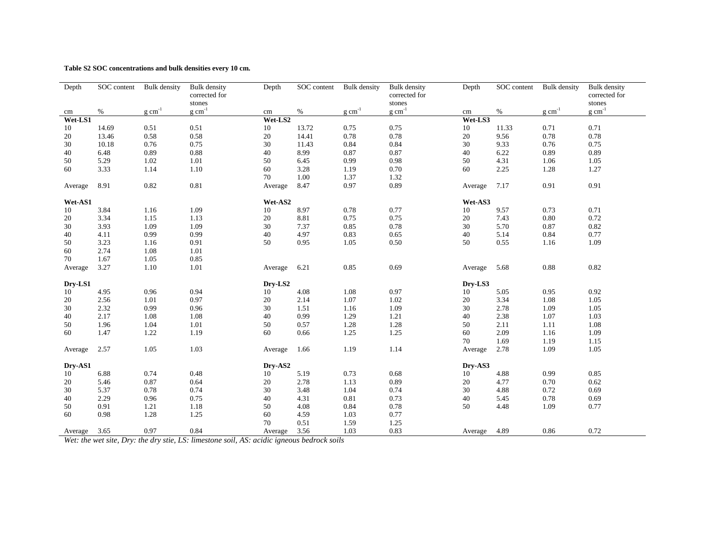**Table S2 SOC concentrations and bulk densities every 10 cm.**

| Depth   | SOC content | <b>Bulk</b> density | <b>Bulk</b> density     | Depth   | SOC content | <b>Bulk</b> density | <b>Bulk</b> density     | Depth   | SOC content | <b>Bulk</b> density | <b>Bulk</b> density     |  |  |
|---------|-------------|---------------------|-------------------------|---------|-------------|---------------------|-------------------------|---------|-------------|---------------------|-------------------------|--|--|
|         |             |                     | corrected for<br>stones |         |             |                     | corrected for<br>stones |         |             |                     | corrected for<br>stones |  |  |
| cm      | $\%$        | $g \text{ cm}^{-1}$ | $g \text{ cm}^{-1}$     | cm      | $\%$        | $g \text{ cm}^{-1}$ | $g$ cm <sup>-1</sup>    | cm      | %           | $g \text{ cm}^{-1}$ | $g \text{ cm}^{-1}$     |  |  |
| Wet-LS1 |             |                     |                         | Wet-LS2 |             |                     |                         | Wet-LS3 |             |                     |                         |  |  |
| 10      | 14.69       | 0.51                | 0.51                    | 10      | 13.72       | 0.75                | 0.75                    | 10      | 11.33       | 0.71                | 0.71                    |  |  |
| 20      | 13.46       | 0.58                | 0.58                    | 20      | 14.41       | 0.78                | 0.78                    | 20      | 9.56        | 0.78                | 0.78                    |  |  |
| 30      | 10.18       | 0.76                | 0.75                    | 30      | 11.43       | 0.84                | 0.84                    | 30      | 9.33        | 0.76                | 0.75                    |  |  |
| 40      | 6.48        | 0.89                | 0.88                    | 40      | 8.99        | 0.87                | 0.87                    | 40      | 6.22        | 0.89                | 0.89                    |  |  |
| 50      | 5.29        | 1.02                | 1.01                    | 50      | 6.45        | 0.99                | 0.98                    | 50      | 4.31        | 1.06                | 1.05                    |  |  |
| 60      | 3.33        | 1.14                | 1.10                    | 60      | 3.28        | 1.19                | 0.70                    | 60      | 2.25        | 1.28                | 1.27                    |  |  |
|         |             |                     |                         | 70      | 1.00        | 1.37                | 1.32                    |         |             |                     |                         |  |  |
| Average | 8.91        | 0.82                | 0.81                    | Average | 8.47        | 0.97                | 0.89                    | Average | 7.17        | 0.91                | 0.91                    |  |  |
| Wet-AS1 |             |                     |                         | Wet-AS2 |             |                     |                         | Wet-AS3 |             |                     |                         |  |  |
| 10      | 3.84        | 1.16                | 1.09                    | 10      | 8.97        | 0.78                | 0.77                    | 10      | 9.57        | 0.73                | 0.71                    |  |  |
| 20      | 3.34        | 1.15                | 1.13                    | 20      | 8.81        | 0.75                | 0.75                    | 20      | 7.43        | 0.80                | 0.72                    |  |  |
| 30      | 3.93        | 1.09                | 1.09                    | 30      | 7.37        | 0.85                | 0.78                    | 30      | 5.70        | 0.87                | 0.82                    |  |  |
| 40      | 4.11        | 0.99                | 0.99                    | 40      | 4.97        | 0.83                | 0.65                    | $40\,$  | 5.14        | 0.84                | 0.77                    |  |  |
| 50      | 3.23        | 1.16                | 0.91                    | 50      | 0.95        | 1.05                | 0.50                    | 50      | 0.55        | 1.16                | 1.09                    |  |  |
| 60      | 2.74        | 1.08                | 1.01                    |         |             |                     |                         |         |             |                     |                         |  |  |
| 70      | 1.67        | 1.05                | 0.85                    |         |             |                     |                         |         |             |                     |                         |  |  |
| Average | 3.27        | 1.10                | 1.01                    | Average | 6.21        | 0.85                | 0.69                    | Average | 5.68        | 0.88                | 0.82                    |  |  |
| Dry-LS1 |             |                     |                         | Dry-LS2 |             |                     |                         | Dry-LS3 |             |                     |                         |  |  |
| 10      | 4.95        | 0.96                | 0.94                    | 10      | 4.08        | 1.08                | 0.97                    | 10      | 5.05        | 0.95                | 0.92                    |  |  |
| 20      | 2.56        | 1.01                | 0.97                    | 20      | 2.14        | 1.07                | 1.02                    | 20      | 3.34        | 1.08                | 1.05                    |  |  |
| 30      | 2.32        | 0.99                | 0.96                    | 30      | 1.51        | 1.16                | 1.09                    | 30      | 2.78        | 1.09                | 1.05                    |  |  |
| 40      | 2.17        | 1.08                | 1.08                    | 40      | 0.99        | 1.29                | 1.21                    | 40      | 2.38        | 1.07                | 1.03                    |  |  |
| 50      | 1.96        | 1.04                | 1.01                    | 50      | 0.57        | 1.28                | 1.28                    | 50      | 2.11        | 1.11                | 1.08                    |  |  |
| 60      | 1.47        | 1.22                | 1.19                    | 60      | 0.66        | 1.25                | 1.25                    | 60      | 2.09        | 1.16                | 1.09                    |  |  |
|         |             |                     |                         |         |             |                     |                         | 70      | 1.69        | 1.19                | 1.15                    |  |  |
| Average | 2.57        | 1.05                | 1.03                    | Average | 1.66        | 1.19                | 1.14                    | Average | 2.78        | 1.09                | 1.05                    |  |  |
| Dry-AS1 |             |                     |                         | Dry-AS2 |             |                     |                         | Dry-AS3 |             |                     |                         |  |  |
| 10      | 6.88        | 0.74                | 0.48                    | 10      | 5.19        | 0.73                | 0.68                    | 10      | 4.88        | 0.99                | 0.85                    |  |  |
| 20      | 5.46        | 0.87                | 0.64                    | 20      | 2.78        | 1.13                | 0.89                    | 20      | 4.77        | 0.70                | 0.62                    |  |  |
| 30      | 5.37        | 0.78                | 0.74                    | 30      | 3.48        | 1.04                | 0.74                    | 30      | 4.88        | 0.72                | 0.69                    |  |  |
| 40      | 2.29        | 0.96                | 0.75                    | 40      | 4.31        | 0.81                | 0.73                    | 40      | 5.45        | 0.78                | 0.69                    |  |  |
| 50      | 0.91        | 1.21                | 1.18                    | 50      | 4.08        | 0.84                | 0.78                    | 50      | 4.48        | 1.09                | 0.77                    |  |  |
| 60      | 0.98        | 1.28                | 1.25                    | 60      | 4.59        | 1.03                | 0.77                    |         |             |                     |                         |  |  |
|         |             |                     |                         | 70      | 0.51        | 1.59                | 1.25                    |         |             |                     |                         |  |  |
| Average | 3.65        | 0.97                | 0.84                    | Average | 3.56        | 1.03                | 0.83                    | Average | 4.89        | 0.86                | 0.72                    |  |  |

*Wet: the wet site, Dry: the dry stie, LS: limestone soil, AS: acidic igneous bedrock soils*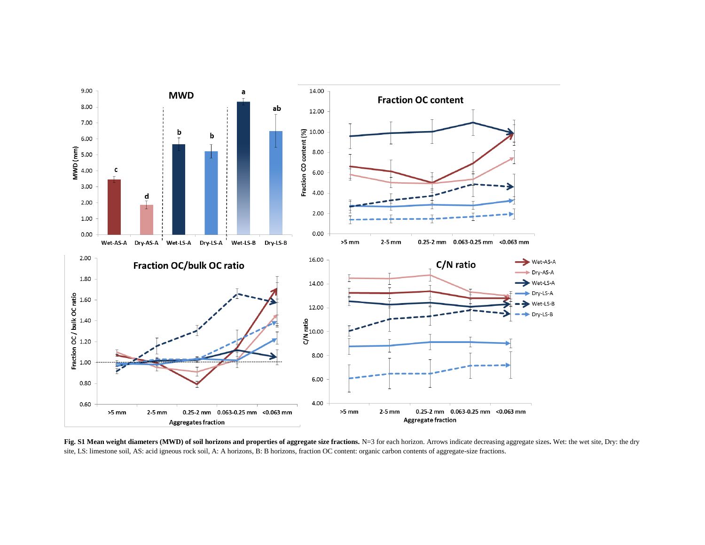

Fig. S1 Mean weight diameters (MWD) of soil horizons and properties of aggregate size fractions. N=3 for each horizon. Arrows indicate decreasing aggregate sizes. Wet: the wet site, Dry: the dry site, LS: limestone soil, AS: acid igneous rock soil, A: A horizons, B: B horizons, fraction OC content: organic carbon contents of aggregate-size fractions.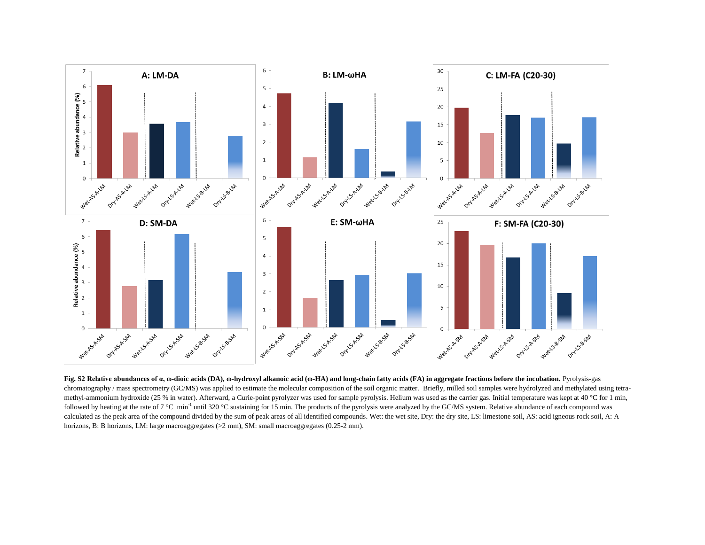

**Fig. S2 Relative abundances of α, ω-dioic acids (DA), ω-hydroxyl alkanoic acid (ω-HA) and long-chain fatty acids (FA) in aggregate fractions before the incubation.** Pyrolysis-gas chromatography / mass spectrometry (GC/MS) was applied to estimate the molecular composition of the soil organic matter. Briefly, milled soil samples were hydrolyzed and methylated using tetramethyl-ammonium hydroxide (25 % in water). Afterward, a Curie-point pyrolyzer was used for sample pyrolysis. Helium was used as the carrier gas. Initial temperature was kept at 40 °C for 1 min, followed by heating at the rate of  $7 \text{ °C}$  min<sup>-1</sup> until 320  $\text{ °C}$  sustaining for 15 min. The products of the pyrolysis were analyzed by the GC/MS system. Relative abundance of each compound was calculated as the peak area of the compound divided by the sum of peak areas of all identified compounds. Wet: the wet site, Dry: the dry site, LS: limestone soil, AS: acid igneous rock soil, A: A horizons, B: B horizons, LM: large macroaggregates ( $>2$  mm), SM: small macroaggregates (0.25-2 mm).